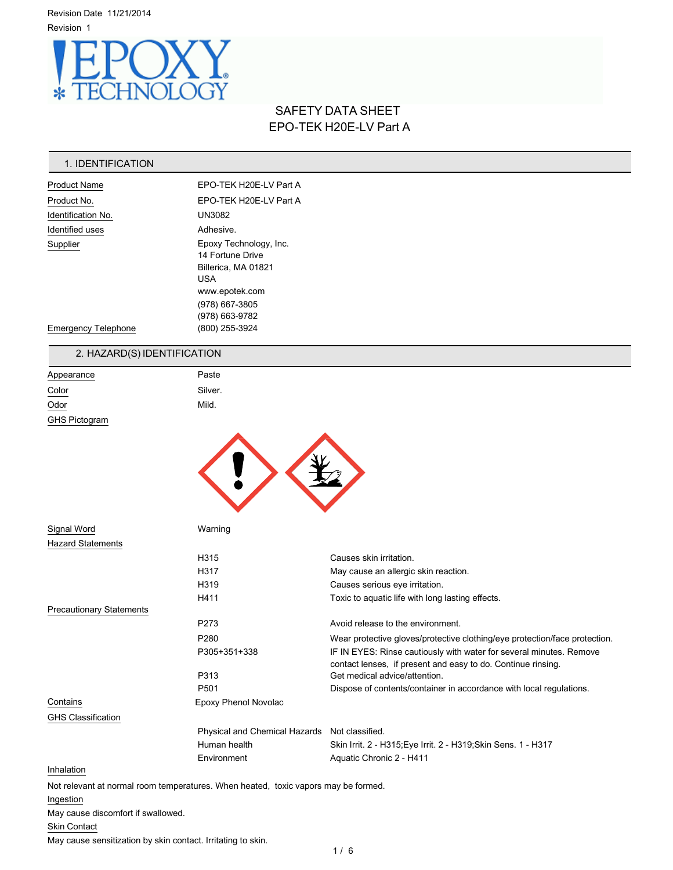Revision Date 11/21/2014 Revision 1



# SAFETY DATA SHEET EPO-TEK H20E-LV Part A

# 1. IDENTIFICATION

| <b>Product Name</b>        | EPO-TEK H20E-LV Part A                                                                                                                |  |
|----------------------------|---------------------------------------------------------------------------------------------------------------------------------------|--|
| Product No.                | EPO-TEK H20E-LV Part A                                                                                                                |  |
| Identification No.         | <b>UN3082</b>                                                                                                                         |  |
| Identified uses            | Adhesive.                                                                                                                             |  |
| Supplier                   | Epoxy Technology, Inc.<br>14 Fortune Drive<br>Billerica, MA 01821<br><b>USA</b><br>www.epotek.com<br>(978) 667-3805<br>(978) 663-9782 |  |
| <b>Emergency Telephone</b> | (800) 255-3924                                                                                                                        |  |

# 2. HAZARD(S) IDENTIFICATION

| Appearance           | Paste   |
|----------------------|---------|
| Color                | Silver. |
| Odor                 | Mild.   |
| <b>GHS Pictogram</b> |         |



| Signal Word                                                                        | Warning                                       |                                                                                                                                     |
|------------------------------------------------------------------------------------|-----------------------------------------------|-------------------------------------------------------------------------------------------------------------------------------------|
| <b>Hazard Statements</b>                                                           |                                               |                                                                                                                                     |
|                                                                                    | H315                                          | Causes skin irritation.                                                                                                             |
|                                                                                    | H317                                          | May cause an allergic skin reaction.                                                                                                |
|                                                                                    | H319                                          | Causes serious eye irritation.                                                                                                      |
|                                                                                    | H411                                          | Toxic to aquatic life with long lasting effects.                                                                                    |
| <b>Precautionary Statements</b>                                                    |                                               |                                                                                                                                     |
|                                                                                    | P273                                          | Avoid release to the environment.                                                                                                   |
|                                                                                    | P <sub>280</sub>                              | Wear protective gloves/protective clothing/eye protection/face protection.                                                          |
|                                                                                    | P305+351+338                                  | IF IN EYES: Rinse cautiously with water for several minutes. Remove<br>contact lenses, if present and easy to do. Continue rinsing. |
|                                                                                    | P313                                          | Get medical advice/attention.                                                                                                       |
|                                                                                    | P <sub>501</sub>                              | Dispose of contents/container in accordance with local regulations.                                                                 |
| Contains                                                                           | Epoxy Phenol Novolac                          |                                                                                                                                     |
| <b>GHS Classification</b>                                                          |                                               |                                                                                                                                     |
|                                                                                    | Physical and Chemical Hazards Not classified. |                                                                                                                                     |
|                                                                                    | Human health                                  | Skin Irrit. 2 - H315; Eye Irrit. 2 - H319; Skin Sens. 1 - H317                                                                      |
|                                                                                    | Environment                                   | Aquatic Chronic 2 - H411                                                                                                            |
| Inhalation                                                                         |                                               |                                                                                                                                     |
| Not relevant at normal room temperatures. When heated, toxic vapors may be formed. |                                               |                                                                                                                                     |
| Ingestion                                                                          |                                               |                                                                                                                                     |
| May cause discomfort if swallowed.                                                 |                                               |                                                                                                                                     |
|                                                                                    |                                               |                                                                                                                                     |

**Skin Contact** 

May cause sensitization by skin contact. Irritating to skin.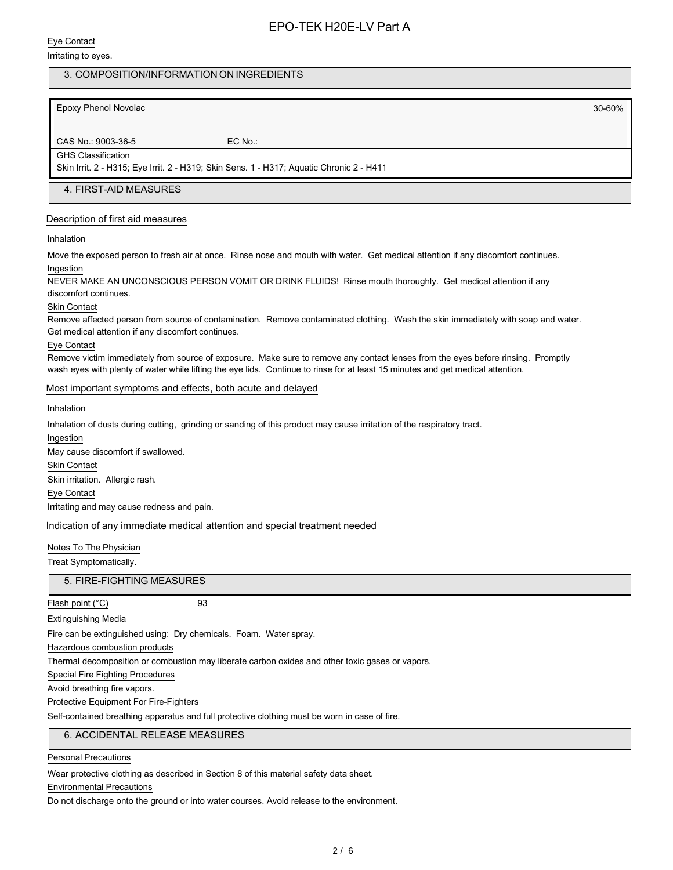#### Eye Contact

#### Irritating to eyes.

# 3. COMPOSITION/INFORMATION ON INGREDIENTS

Epoxy Phenol Novolac 30-60%

CAS No.: 9003-36-5 EC No.: GHS Classification

Skin Irrit. 2 - H315; Eye Irrit. 2 - H319; Skin Sens. 1 - H317; Aquatic Chronic 2 - H411

### 4. FIRST-AID MEASURES

#### Description of first aid measures

#### Inhalation

Move the exposed person to fresh air at once. Rinse nose and mouth with water. Get medical attention if any discomfort continues. Ingestion

NEVER MAKE AN UNCONSCIOUS PERSON VOMIT OR DRINK FLUIDS! Rinse mouth thoroughly. Get medical attention if any discomfort continues.

#### Skin Contact

Remove affected person from source of contamination. Remove contaminated clothing. Wash the skin immediately with soap and water. Get medical attention if any discomfort continues.

#### Eye Contact

Remove victim immediately from source of exposure. Make sure to remove any contact lenses from the eyes before rinsing. Promptly wash eyes with plenty of water while lifting the eye lids. Continue to rinse for at least 15 minutes and get medical attention.

#### Most important symptoms and effects, both acute and delayed

#### Inhalation

Inhalation of dusts during cutting, grinding or sanding of this product may cause irritation of the respiratory tract.

Ingestion May cause discomfort if swallowed. Skin Contact Skin irritation. Allergic rash. Eye Contact Irritating and may cause redness and pain.

#### Indication of any immediate medical attention and special treatment needed

#### Notes To The Physician

Treat Symptomatically.

5. FIRE-FIGHTING MEASURES

Flash point (°C) 93

Extinguishing Media

Fire can be extinguished using: Dry chemicals. Foam. Water spray.

Hazardous combustion products

Thermal decomposition or combustion may liberate carbon oxides and other toxic gases or vapors.

Special Fire Fighting Procedures

Avoid breathing fire vapors.

Protective Equipment For Fire-Fighters

Self-contained breathing apparatus and full protective clothing must be worn in case of fire.

## 6. ACCIDENTAL RELEASE MEASURES

#### Personal Precautions

Wear protective clothing as described in Section 8 of this material safety data sheet.

### Environmental Precautions

Do not discharge onto the ground or into water courses. Avoid release to the environment.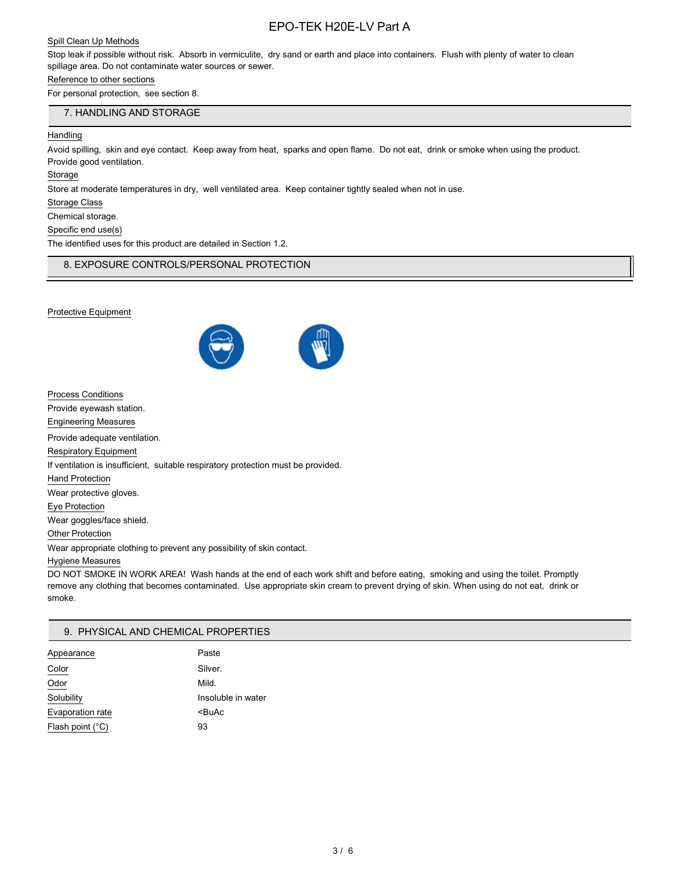# EPO-TEK H20E-LV Part A

#### Spill Clean Up Methods

Stop leak if possible without risk. Absorb in vermiculite, dry sand or earth and place into containers. Flush with plenty of water to clean spillage area. Do not contaminate water sources or sewer.

#### Reference to other sections

For personal protection, see section 8.

#### 7. HANDLING AND STORAGE

#### **Handling**

Avoid spilling, skin and eye contact. Keep away from heat, sparks and open flame. Do not eat, drink or smoke when using the product. Provide good ventilation.

**Storage** 

Store at moderate temperatures in dry, well ventilated area. Keep container tightly sealed when not in use.

Storage Class

Chemical storage.

Specific end use(s)

The identified uses for this product are detailed in Section 1.2.

8. EXPOSURE CONTROLS/PERSONAL PROTECTION

#### Protective Equipment



| <b>Process Conditions</b>                                                         |
|-----------------------------------------------------------------------------------|
| Provide eyewash station.                                                          |
| <b>Engineering Measures</b>                                                       |
| Provide adequate ventilation.                                                     |
| <b>Respiratory Equipment</b>                                                      |
| If ventilation is insufficient, suitable respiratory protection must be provided. |
| <b>Hand Protection</b>                                                            |
| Wear protective gloves.                                                           |
| Eye Protection                                                                    |
| Wear goggles/face shield.                                                         |
| <b>Other Protection</b>                                                           |
|                                                                                   |

Wear appropriate clothing to prevent any possibility of skin contact.

#### Hygiene Measures

DO NOT SMOKE IN WORK AREA! Wash hands at the end of each work shift and before eating, smoking and using the toilet. Promptly remove any clothing that becomes contaminated. Use appropriate skin cream to prevent drying of skin. When using do not eat, drink or smoke.

#### 9. PHYSICAL AND CHEMICAL PROPERTIES

| Appearance       | Paste                 |
|------------------|-----------------------|
| Color            | Silver.               |
| Odor             | Mild.                 |
| Solubility       | Insoluble in water    |
| Evaporation rate | <buac< td=""></buac<> |
| Flash point (°C) | 93                    |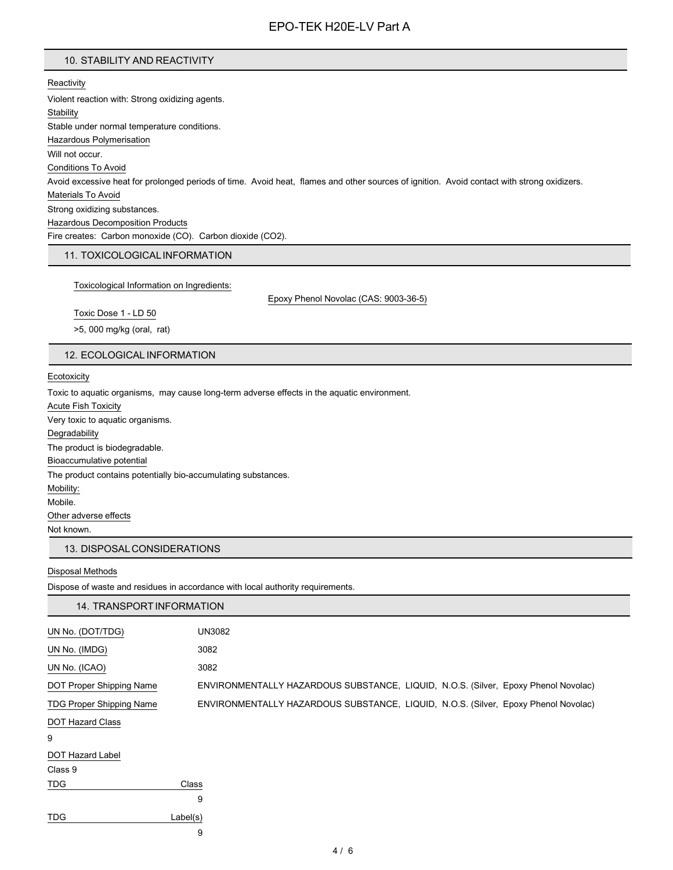#### 10. STABILITY AND REACTIVITY

**Reactivity** Violent reaction with: Strong oxidizing agents. **Stability** Stable under normal temperature conditions. Hazardous Polymerisation Will not occur. Conditions To Avoid Avoid excessive heat for prolonged periods of time. Avoid heat, flames and other sources of ignition. Avoid contact with strong oxidizers. Materials To Avoid Strong oxidizing substances. Hazardous Decomposition Products Fire creates: Carbon monoxide (CO). Carbon dioxide (CO2).

## 11. TOXICOLOGICALINFORMATION

Toxicological Information on Ingredients:

Epoxy Phenol Novolac (CAS: 9003-36-5)

Toxic Dose 1 - LD 50

>5, 000 mg/kg (oral, rat)

#### 12. ECOLOGICAL INFORMATION

**Ecotoxicity** 

Toxic to aquatic organisms, may cause long-term adverse effects in the aquatic environment.

Acute Fish Toxicity

Very toxic to aquatic organisms.

**Degradability** 

The product is biodegradable.

Bioaccumulative potential

The product contains potentially bio-accumulating substances.

Mobility:

Mobile.

Other adverse effects

Not known.

#### 13. DISPOSALCONSIDERATIONS

#### Disposal Methods

Dispose of waste and residues in accordance with local authority requirements.

| 14. TRANSPORT INFORMATION       |                                                                                    |
|---------------------------------|------------------------------------------------------------------------------------|
| UN No. (DOT/TDG)                | <b>UN3082</b>                                                                      |
| UN No. (IMDG)                   | 3082                                                                               |
| UN No. (ICAO)                   | 3082                                                                               |
| DOT Proper Shipping Name        | ENVIRONMENTALLY HAZARDOUS SUBSTANCE, LIQUID, N.O.S. (Silver, Epoxy Phenol Novolac) |
| <b>TDG Proper Shipping Name</b> | ENVIRONMENTALLY HAZARDOUS SUBSTANCE, LIQUID, N.O.S. (Silver, Epoxy Phenol Novolac) |
| <b>DOT Hazard Class</b>         |                                                                                    |
| 9                               |                                                                                    |
| DOT Hazard Label                |                                                                                    |
| Class 9                         |                                                                                    |
| <b>TDG</b>                      | Class                                                                              |
|                                 | 9                                                                                  |
| <b>TDG</b>                      | Label(s)                                                                           |
|                                 | 9                                                                                  |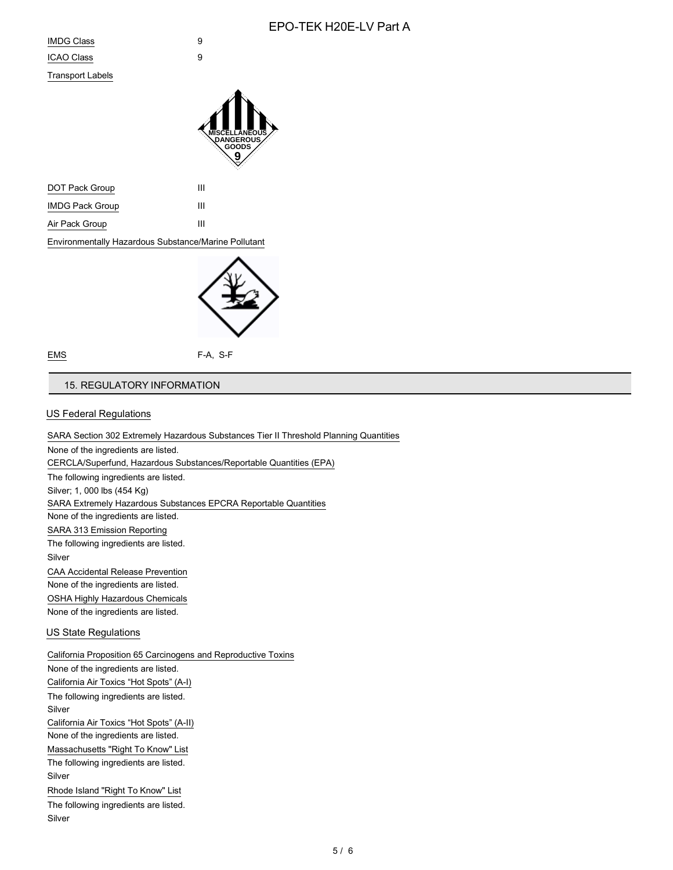# EPO-TEK H20E-LV Part A

Transport Labels



| DOT Pack Group         | ш |
|------------------------|---|
| <b>IMDG Pack Group</b> | ш |
| Air Pack Group         | ш |

Environmentally Hazardous Substance/Marine Pollutant



EMS F-A, S-F

## 15. REGULATORY INFORMATION

#### US Federal Regulations

SARA Section 302 Extremely Hazardous Substances Tier II Threshold Planning Quantities None of the ingredients are listed. CERCLA/Superfund, Hazardous Substances/Reportable Quantities (EPA) The following ingredients are listed. Silver; 1, 000 lbs (454 Kg) SARA Extremely Hazardous Substances EPCRA Reportable Quantities None of the ingredients are listed. SARA 313 Emission Reporting The following ingredients are listed. Silver CAA Accidental Release Prevention None of the ingredients are listed. OSHA Highly Hazardous Chemicals None of the ingredients are listed. US State Regulations California Proposition 65 Carcinogens and Reproductive Toxins None of the ingredients are listed. California Air Toxics "Hot Spots" (A-I) The following ingredients are listed. Silver California Air Toxics "Hot Spots" (A-II) None of the ingredients are listed. Massachusetts "Right To Know" List The following ingredients are listed. Silver Rhode Island "Right To Know" List The following ingredients are listed. Silver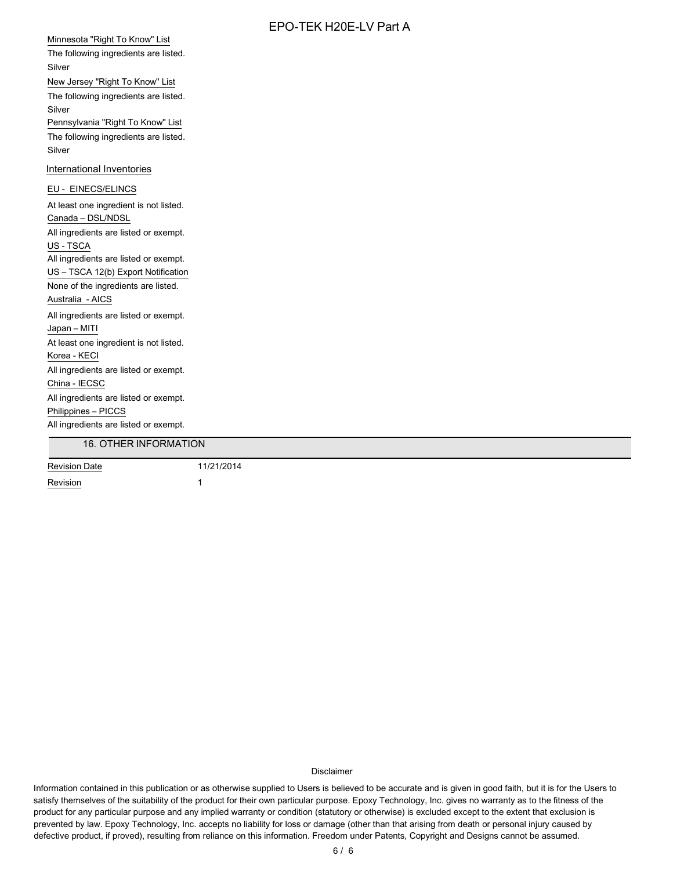# $E$ PO-TEK HOOF-LV Part A

|                                        | EPO-TEK H20E-LV Part A |
|----------------------------------------|------------------------|
| Minnesota "Right To Know" List         |                        |
| The following ingredients are listed.  |                        |
| Silver                                 |                        |
| New Jersey "Right To Know" List        |                        |
| The following ingredients are listed.  |                        |
| Silver                                 |                        |
| Pennsylvania "Right To Know" List      |                        |
| The following ingredients are listed.  |                        |
| Silver                                 |                        |
| International Inventories              |                        |
| EU - EINECS/ELINCS                     |                        |
| At least one ingredient is not listed. |                        |
| Canada - DSL/NDSL                      |                        |
| All ingredients are listed or exempt.  |                        |
| US - TSCA                              |                        |
| All ingredients are listed or exempt.  |                        |
| US - TSCA 12(b) Export Notification    |                        |
| None of the ingredients are listed.    |                        |
| Australia - AICS                       |                        |
| All ingredients are listed or exempt.  |                        |
| Japan - MITI                           |                        |
| At least one ingredient is not listed. |                        |
| Korea - KECI                           |                        |
| All ingredients are listed or exempt.  |                        |
| China - IECSC                          |                        |
| All ingredients are listed or exempt.  |                        |
| Philippines - PICCS                    |                        |
| All ingredients are listed or exempt.  |                        |
| 16. OTHER INFORMATION                  |                        |
| <b>Revision Date</b>                   | 11/21/2014             |
| Revision                               | $\mathbf{1}$           |

#### Disclaimer

Information contained in this publication or as otherwise supplied to Users is believed to be accurate and is given in good faith, but it is for the Users to satisfy themselves of the suitability of the product for their own particular purpose. Epoxy Technology, Inc. gives no warranty as to the fitness of the product for any particular purpose and any implied warranty or condition (statutory or otherwise) is excluded except to the extent that exclusion is prevented by law. Epoxy Technology, Inc. accepts no liability for loss or damage (other than that arising from death or personal injury caused by defective product, if proved), resulting from reliance on this information. Freedom under Patents, Copyright and Designs cannot be assumed.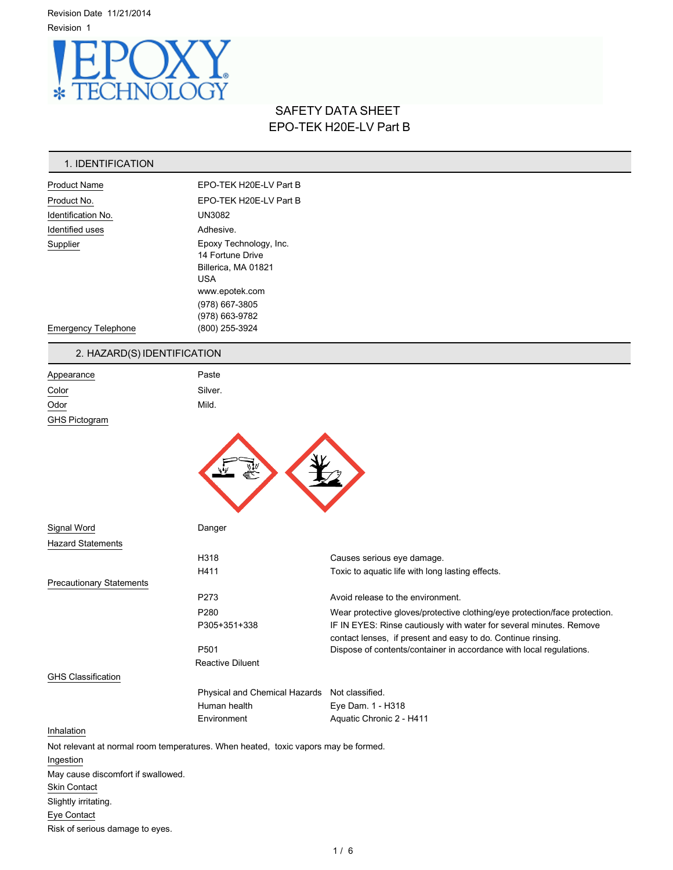Revision Date 11/21/2014 Revision 1



# SAFETY DATA SHEET EPO-TEK H20E-LV Part B

# 1. IDENTIFICATION

| <b>Product Name</b>        | EPO-TEK H20E-LV Part B                                                                                                                |  |
|----------------------------|---------------------------------------------------------------------------------------------------------------------------------------|--|
| Product No.                | EPO-TEK H20E-LV Part B                                                                                                                |  |
| Identification No.         | <b>UN3082</b>                                                                                                                         |  |
| Identified uses            | Adhesive.                                                                                                                             |  |
| Supplier                   | Epoxy Technology, Inc.<br>14 Fortune Drive<br>Billerica, MA 01821<br><b>USA</b><br>www.epotek.com<br>(978) 667-3805<br>(978) 663-9782 |  |
| <b>Emergency Telephone</b> | (800) 255-3924                                                                                                                        |  |

# 2. HAZARD(S) IDENTIFICATION

| Appearance                | Paste   |  |  |
|---------------------------|---------|--|--|
| Color                     | Silver. |  |  |
| $\underline{\text{Odor}}$ | Mild.   |  |  |
| GHS Pictogram             |         |  |  |
|                           |         |  |  |



| Signal Word                     | Danger                                                                             |                                                                                                                                     |
|---------------------------------|------------------------------------------------------------------------------------|-------------------------------------------------------------------------------------------------------------------------------------|
| <b>Hazard Statements</b>        |                                                                                    |                                                                                                                                     |
|                                 | H318                                                                               | Causes serious eye damage.                                                                                                          |
|                                 | H411                                                                               | Toxic to aquatic life with long lasting effects.                                                                                    |
| <b>Precautionary Statements</b> |                                                                                    |                                                                                                                                     |
|                                 | P273                                                                               | Avoid release to the environment.                                                                                                   |
|                                 | P280                                                                               | Wear protective gloves/protective clothing/eye protection/face protection.                                                          |
|                                 | P305+351+338                                                                       | IF IN EYES: Rinse cautiously with water for several minutes. Remove<br>contact lenses, if present and easy to do. Continue rinsing. |
|                                 | P <sub>501</sub>                                                                   | Dispose of contents/container in accordance with local regulations.                                                                 |
|                                 | Reactive Diluent                                                                   |                                                                                                                                     |
| <b>GHS Classification</b>       |                                                                                    |                                                                                                                                     |
|                                 | Physical and Chemical Hazards                                                      | Not classified.                                                                                                                     |
|                                 | Human health                                                                       | Eye Dam. 1 - H318                                                                                                                   |
|                                 | Environment                                                                        | Aquatic Chronic 2 - H411                                                                                                            |
| Inhalation                      |                                                                                    |                                                                                                                                     |
|                                 | Not relevant at normal room temperatures. When heated, toxic vapors may be formed. |                                                                                                                                     |
| Ingestion                       |                                                                                    |                                                                                                                                     |

May cause discomfort if swallowed. Skin Contact Slightly irritating. Eye Contact Risk of serious damage to eyes.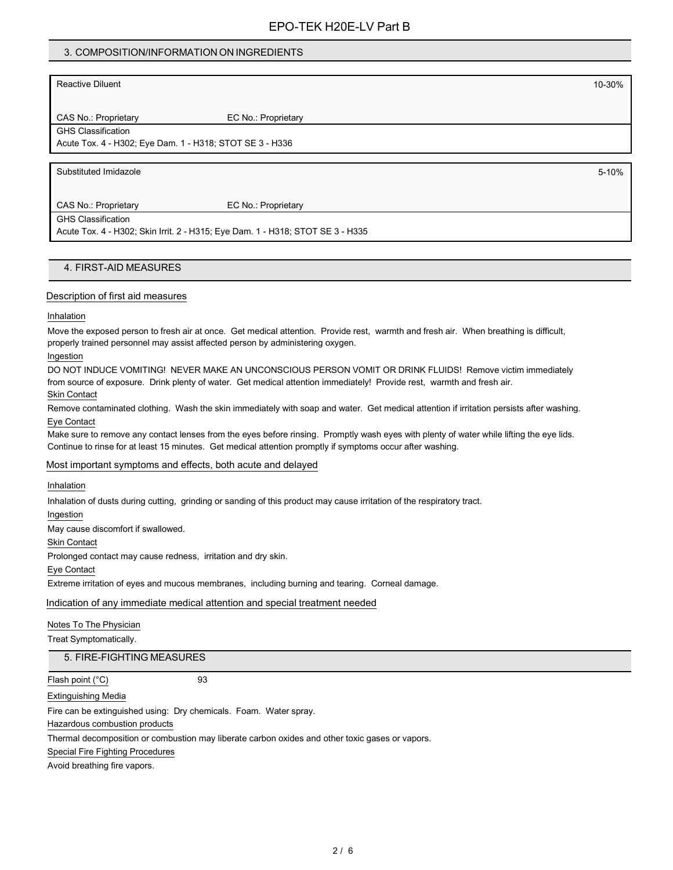## 3. COMPOSITION/INFORMATION ON INGREDIENTS

| <b>Reactive Diluent</b>                                  |                     | 10-30% |
|----------------------------------------------------------|---------------------|--------|
|                                                          |                     |        |
| CAS No.: Proprietary                                     | EC No.: Proprietary |        |
| <b>GHS Classification</b>                                |                     |        |
| Acute Tox. 4 - H302; Eye Dam. 1 - H318; STOT SE 3 - H336 |                     |        |
|                                                          |                     |        |
|                                                          |                     |        |
| Substituted Imidazole                                    |                     | 5-10%  |
|                                                          |                     |        |
| CAS No.: Proprietary                                     | EC No.: Proprietary |        |
| <b>GHS Classification</b>                                |                     |        |

#### 4. FIRST-AID MEASURES

#### Description of first aid measures

#### Inhalation

Move the exposed person to fresh air at once. Get medical attention. Provide rest, warmth and fresh air. When breathing is difficult, properly trained personnel may assist affected person by administering oxygen.

#### Ingestion

DO NOT INDUCE VOMITING! NEVER MAKE AN UNCONSCIOUS PERSON VOMIT OR DRINK FLUIDS! Remove victim immediately from source of exposure. Drink plenty of water. Get medical attention immediately! Provide rest, warmth and fresh air. Skin Contact

Remove contaminated clothing. Wash the skin immediately with soap and water. Get medical attention if irritation persists after washing. Eye Contact

Make sure to remove any contact lenses from the eyes before rinsing. Promptly wash eyes with plenty of water while lifting the eye lids. Continue to rinse for at least 15 minutes. Get medical attention promptly if symptoms occur after washing.

#### Most important symptoms and effects, both acute and delayed

#### Inhalation

Inhalation of dusts during cutting, grinding or sanding of this product may cause irritation of the respiratory tract.

Ingestion

May cause discomfort if swallowed.

Skin Contact

Prolonged contact may cause redness, irritation and dry skin.

Eye Contact

Extreme irritation of eyes and mucous membranes, including burning and tearing. Corneal damage.

#### Indication of any immediate medical attention and special treatment needed

#### Notes To The Physician

Treat Symptomatically.

#### 5. FIRE-FIGHTING MEASURES

## Flash point (°C) 93

Extinguishing Media

Fire can be extinguished using: Dry chemicals. Foam. Water spray.

Hazardous combustion products

Thermal decomposition or combustion may liberate carbon oxides and other toxic gases or vapors.

Special Fire Fighting Procedures

Avoid breathing fire vapors.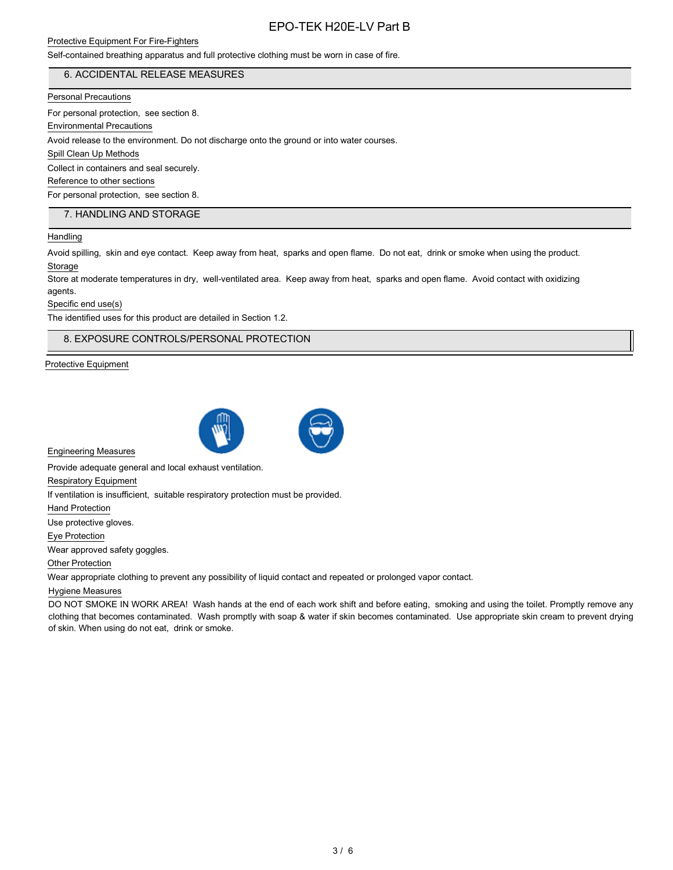# Protective Equipment For Fire-Fighters

# EPO-TEK H20E-LV Part B

Self-contained breathing apparatus and full protective clothing must be worn in case of fire.

# 6. ACCIDENTAL RELEASE MEASURES

### Personal Precautions

For personal protection, see section 8.

Environmental Precautions

Avoid release to the environment. Do not discharge onto the ground or into water courses.

Spill Clean Up Methods

Collect in containers and seal securely.

Reference to other sections

For personal protection, see section 8.

# 7. HANDLING AND STORAGE

## Handling

Avoid spilling, skin and eye contact. Keep away from heat, sparks and open flame. Do not eat, drink or smoke when using the product. Storage

Store at moderate temperatures in dry, well-ventilated area. Keep away from heat, sparks and open flame. Avoid contact with oxidizing agents.

Specific end use(s)

The identified uses for this product are detailed in Section 1.2.

## 8. EXPOSURE CONTROLS/PERSONAL PROTECTION

Protective Equipment



Engineering Measures

Provide adequate general and local exhaust ventilation.

Respiratory Equipment

If ventilation is insufficient, suitable respiratory protection must be provided.

Hand Protection

Use protective gloves.

Eye Protection

Wear approved safety goggles.

Other Protection

Wear appropriate clothing to prevent any possibility of liquid contact and repeated or prolonged vapor contact.

#### Hygiene Measures

DO NOT SMOKE IN WORK AREA! Wash hands at the end of each work shift and before eating, smoking and using the toilet. Promptly remove any clothing that becomes contaminated. Wash promptly with soap & water if skin becomes contaminated. Use appropriate skin cream to prevent drying of skin. When using do not eat, drink or smoke.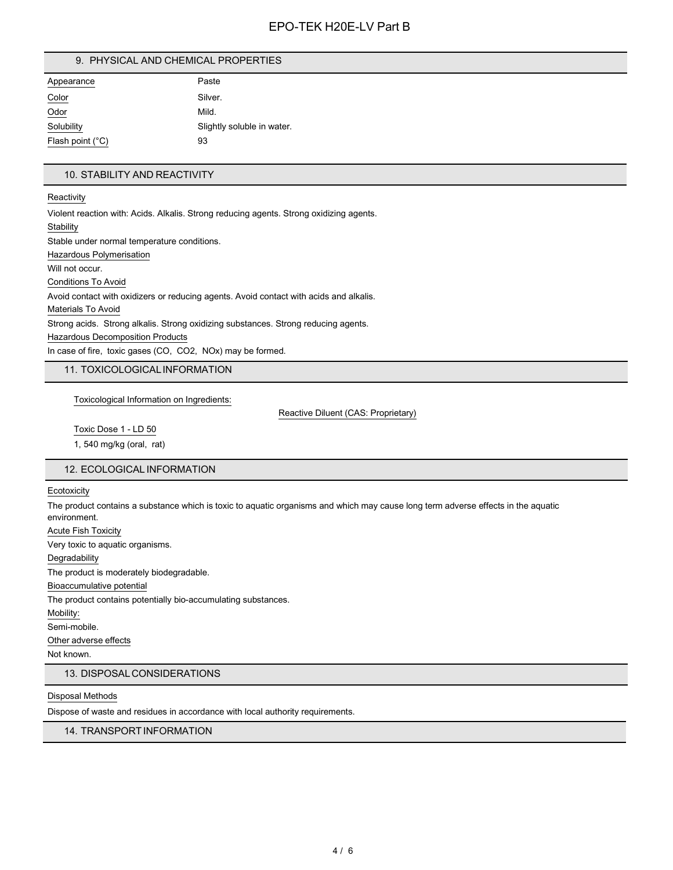# EPO-TEK H20E-LV Part B

#### 9. PHYSICAL AND CHEMICAL PROPERTIES

| Appearance                | Paste                      |
|---------------------------|----------------------------|
| Color                     | Silver.                    |
| Odor                      | Mild.                      |
| Solubility                | Slightly soluble in water. |
| Flash point $(^{\circ}C)$ | 93                         |

### 10. STABILITY AND REACTIVITY

**Reactivity** 

Violent reaction with: Acids. Alkalis. Strong reducing agents. Strong oxidizing agents. **Stability** Stable under normal temperature conditions. Hazardous Polymerisation Will not occur. Conditions To Avoid Avoid contact with oxidizers or reducing agents. Avoid contact with acids and alkalis. Materials To Avoid Strong acids. Strong alkalis. Strong oxidizing substances. Strong reducing agents. Hazardous Decomposition Products In case of fire, toxic gases (CO, CO2, NOx) may be formed.

11. TOXICOLOGICALINFORMATION

Toxicological Information on Ingredients:

Reactive Diluent (CAS: Proprietary)

Toxic Dose 1 - LD 50 1, 540 mg/kg (oral, rat)

# 12. ECOLOGICAL INFORMATION

**Ecotoxicity** 

The product contains a substance which is toxic to aquatic organisms and which may cause long term adverse effects in the aquatic environment.

Acute Fish Toxicity Very toxic to aquatic organisms. Degradability The product is moderately biodegradable. Bioaccumulative potential The product contains potentially bio-accumulating substances. Mobility: Semi-mobile. Other adverse effects

Not known.

#### 13. DISPOSALCONSIDERATIONS

#### Disposal Methods

Dispose of waste and residues in accordance with local authority requirements.

## 14. TRANSPORTINFORMATION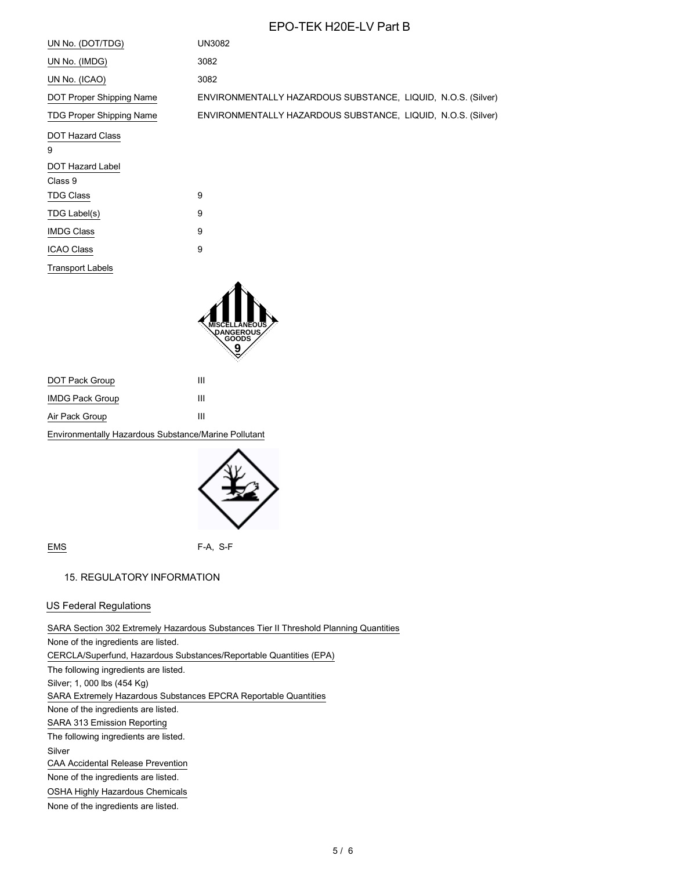# EPO-TEK H20E-LV Part B

| UN No. (DOT/TDG)                | UN3082                                                       |
|---------------------------------|--------------------------------------------------------------|
| UN No. (IMDG)                   | 3082                                                         |
| UN No. (ICAO)                   | 3082                                                         |
| DOT Proper Shipping Name        | ENVIRONMENTALLY HAZARDOUS SUBSTANCE, LIQUID, N.O.S. (Silver) |
| <b>TDG Proper Shipping Name</b> | ENVIRONMENTALLY HAZARDOUS SUBSTANCE, LIQUID, N.O.S. (Silver) |
| <b>DOT Hazard Class</b><br>9    |                                                              |
| <b>DOT Hazard Label</b>         |                                                              |
| Class 9                         |                                                              |
| <b>TDG Class</b>                | 9                                                            |
| TDG Label(s)                    | 9                                                            |
| <b>IMDG Class</b>               | 9                                                            |
| <b>ICAO Class</b>               | 9                                                            |
| <b>Transport Labels</b>         |                                                              |



| DOT Pack Group                                       | ш |  |
|------------------------------------------------------|---|--|
| <b>IMDG Pack Group</b>                               | ш |  |
| Air Pack Group                                       | ш |  |
| Environmentally Hazardous Substance/Marine Pollutant |   |  |



EMS F-A, S-F

#### 15. REGULATORY INFORMATION

## US Federal Regulations

SARA Section 302 Extremely Hazardous Substances Tier II Threshold Planning Quantities None of the ingredients are listed. CERCLA/Superfund, Hazardous Substances/Reportable Quantities (EPA) The following ingredients are listed. Silver; 1, 000 lbs (454 Kg) SARA Extremely Hazardous Substances EPCRA Reportable Quantities None of the ingredients are listed. SARA 313 Emission Reporting The following ingredients are listed. Silver CAA Accidental Release Prevention None of the ingredients are listed. OSHA Highly Hazardous Chemicals None of the ingredients are listed.